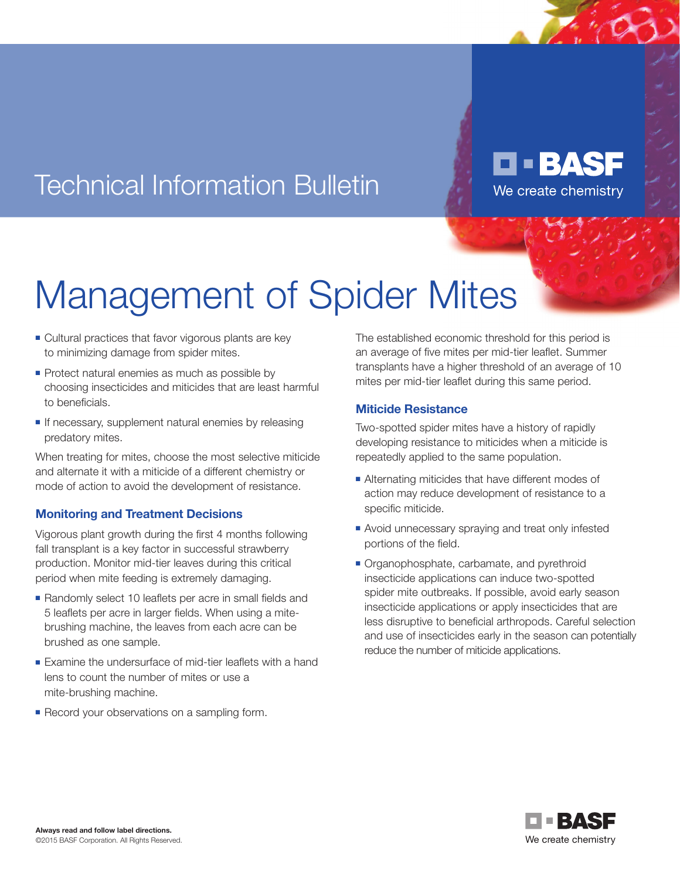## Technical Information Bulletin

Management of Spider Mites

- Cultural practices that favor vigorous plants are key to minimizing damage from spider mites.
- Protect natural enemies as much as possible by choosing insecticides and miticides that are least harmful to beneficials.
- $\blacksquare$  If necessary, supplement natural enemies by releasing predatory mites.

When treating for mites, choose the most selective miticide and alternate it with a miticide of a different chemistry or mode of action to avoid the development of resistance.

#### **Monitoring and Treatment Decisions**

Vigorous plant growth during the first 4 months following fall transplant is a key factor in successful strawberry production. Monitor mid-tier leaves during this critical period when mite feeding is extremely damaging.

- <sup>n</sup> Randomly select 10 leaflets per acre in small fields and 5 leaflets per acre in larger fields. When using a mitebrushing machine, the leaves from each acre can be brushed as one sample.
- **Examine the undersurface of mid-tier leaflets with a hand** lens to count the number of mites or use a mite-brushing machine.
- **Execord your observations on a sampling form.**

The established economic threshold for this period is an average of five mites per mid-tier leaflet. Summer transplants have a higher threshold of an average of 10 mites per mid-tier leaflet during this same period.

**D - BASF** 

We create chemistry

#### **Miticide Resistance**

Two-spotted spider mites have a history of rapidly developing resistance to miticides when a miticide is repeatedly applied to the same population.

- Alternating miticides that have different modes of action may reduce development of resistance to a specific miticide.
- **Avoid unnecessary spraying and treat only infested** portions of the field.
- Organophosphate, carbamate, and pyrethroid insecticide applications can induce two-spotted spider mite outbreaks. If possible, avoid early season insecticide applications or apply insecticides that are less disruptive to beneficial arthropods. Careful selection and use of insecticides early in the season can potentially reduce the number of miticide applications.